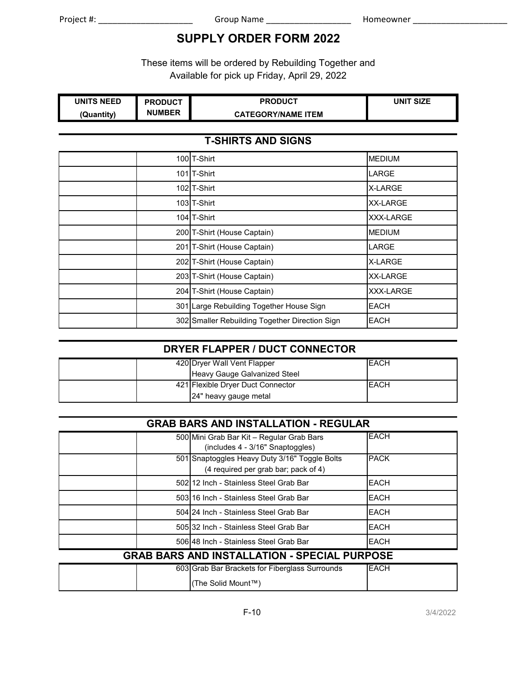# **SUPPLY ORDER FORM 2022**

These items will be ordered by Rebuilding Together and Available for pick up Friday, April 29, 2022

| <b>UNITS NEED</b> | <b>PRODUCT</b> | <b>PRODUCT</b>            | <b>SIZE</b><br>UNIT |
|-------------------|----------------|---------------------------|---------------------|
| (Quantity)        | <b>NUMBER</b>  | <b>CATEGORY/NAME ITEM</b> |                     |

#### **T-SHIRTS AND SIGNS**

| 100 T-Shirt                                    | <b>MEDIUM</b>    |
|------------------------------------------------|------------------|
| 101 <sub>IT-Shirt</sub>                        | <b>LARGE</b>     |
| 102 T-Shirt                                    | <b>X-LARGE</b>   |
| 103 <sub>IT-Shirt</sub>                        | <b>XX-LARGE</b>  |
| 104 T-Shirt                                    | <b>XXX-LARGE</b> |
| 200 T-Shirt (House Captain)                    | <b>MEDIUM</b>    |
| 201 T-Shirt (House Captain)                    | <b>LARGE</b>     |
| 202 T-Shirt (House Captain)                    | X-LARGE          |
| 203 T-Shirt (House Captain)                    | <b>XX-LARGE</b>  |
| 204 T-Shirt (House Captain)                    | <b>XXX-LARGE</b> |
| 301 Large Rebuilding Together House Sign       | <b>EACH</b>      |
| 302 Smaller Rebuilding Together Direction Sign | <b>EACH</b>      |

#### **DRYER FLAPPER / DUCT CONNECTOR**

|  | 420 Dryer Wall Vent Flapper       | <b>EACH</b> |
|--|-----------------------------------|-------------|
|  | Heavy Gauge Galvanized Steel      |             |
|  | 421 Flexible Dryer Duct Connector | <b>EACH</b> |
|  | 24" heavy gauge metal             |             |

#### **GRAB BARS AND INSTALLATION - REGULAR**

| 500 Mini Grab Bar Kit - Regular Grab Bars<br>(includes 4 - 3/16" Snaptoggles)         | <b>EACH</b> |
|---------------------------------------------------------------------------------------|-------------|
| 501 Snaptoggles Heavy Duty 3/16" Toggle Bolts<br>(4 required per grab bar; pack of 4) | <b>PACK</b> |
| 502 12 Inch - Stainless Steel Grab Bar                                                | <b>EACH</b> |
| 503 16 Inch - Stainless Steel Grab Bar                                                | EACH        |
| 504124 Inch - Stainless Steel Grab Bar                                                | <b>EACH</b> |
| 505132 Inch - Stainless Steel Grab Bar                                                | <b>EACH</b> |
| 506148 Inch - Stainless Steel Grab Bar                                                | <b>EACH</b> |

## **GRAB BARS AND INSTALLATION - SPECIAL PURPOSE**

|  | 603 Grab Bar Brackets for Fiberglass Surrounds | <b>EACH</b> |
|--|------------------------------------------------|-------------|
|  | (The Solid Mount™)                             |             |